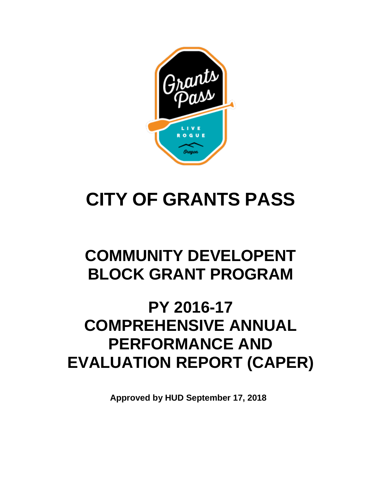

# **CITY OF GRANTS PASS**

## **COMMUNITY DEVELOPENT BLOCK GRANT PROGRAM**

## **PY 2016-17 COMPREHENSIVE ANNUAL PERFORMANCE AND EVALUATION REPORT (CAPER)**

**Approved by HUD September 17, 2018**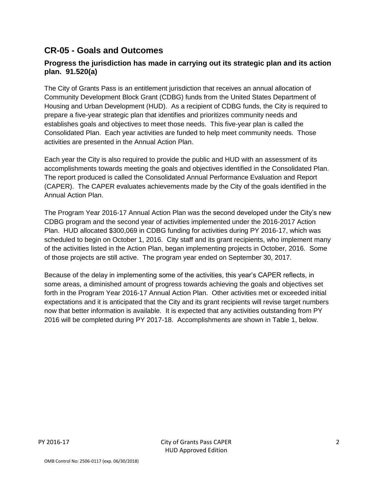## **CR-05 - Goals and Outcomes**

## **Progress the jurisdiction has made in carrying out its strategic plan and its action plan. 91.520(a)**

The City of Grants Pass is an entitlement jurisdiction that receives an annual allocation of Community Development Block Grant (CDBG) funds from the United States Department of Housing and Urban Development (HUD). As a recipient of CDBG funds, the City is required to prepare a five-year strategic plan that identifies and prioritizes community needs and establishes goals and objectives to meet those needs. This five-year plan is called the Consolidated Plan. Each year activities are funded to help meet community needs. Those activities are presented in the Annual Action Plan.

Each year the City is also required to provide the public and HUD with an assessment of its accomplishments towards meeting the goals and objectives identified in the Consolidated Plan. The report produced is called the Consolidated Annual Performance Evaluation and Report (CAPER). The CAPER evaluates achievements made by the City of the goals identified in the Annual Action Plan.

The Program Year 2016-17 Annual Action Plan was the second developed under the City's new CDBG program and the second year of activities implemented under the 2016-2017 Action Plan. HUD allocated \$300,069 in CDBG funding for activities during PY 2016-17, which was scheduled to begin on October 1, 2016. City staff and its grant recipients, who implement many of the activities listed in the Action Plan, began implementing projects in October, 2016. Some of those projects are still active. The program year ended on September 30, 2017.

Because of the delay in implementing some of the activities, this year's CAPER reflects, in some areas, a diminished amount of progress towards achieving the goals and objectives set forth in the Program Year 2016-17 Annual Action Plan. Other activities met or exceeded initial expectations and it is anticipated that the City and its grant recipients will revise target numbers now that better information is available. It is expected that any activities outstanding from PY 2016 will be completed during PY 2017-18. Accomplishments are shown in Table 1, below.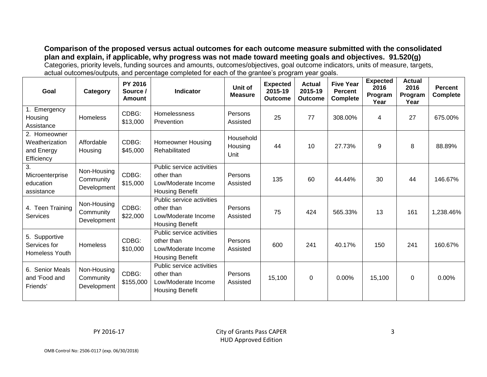**Comparison of the proposed versus actual outcomes for each outcome measure submitted with the consolidated plan and explain, if applicable, why progress was not made toward meeting goals and objectives. 91.520(g)** Categories, priority levels, funding sources and amounts, outcomes/objectives, goal outcome indicators, units of measure, targets, actual outcomes/outputs, and percentage completed for each of the grantee's program year goals.

| Goal                                                       | Category                                | PY 2016<br>Source /<br>Amount | <b>Indicator</b>                                                                         | Unit of<br><b>Measure</b>    | <b>Expected</b><br>2015-19<br><b>Outcome</b> | <b>Actual</b><br>2015-19<br><b>Outcome</b> | <b>Five Year</b><br><b>Percent</b><br><b>Complete</b> | <b>Expected</b><br>2016<br>Program<br>Year | <b>Actual</b><br>2016<br>Program<br>Year | <b>Percent</b><br><b>Complete</b> |
|------------------------------------------------------------|-----------------------------------------|-------------------------------|------------------------------------------------------------------------------------------|------------------------------|----------------------------------------------|--------------------------------------------|-------------------------------------------------------|--------------------------------------------|------------------------------------------|-----------------------------------|
| 1. Emergency<br>Housing<br>Assistance                      | <b>Homeless</b>                         | CDBG:<br>\$13,000             | <b>Homelessness</b><br>Prevention                                                        | Persons<br>Assisted          | 25                                           | 77                                         | 308.00%                                               | 4                                          | 27                                       | 675.00%                           |
| 2. Homeowner<br>Weatherization<br>and Energy<br>Efficiency | Affordable<br>Housing                   | CDBG:<br>\$45,000             | <b>Homeowner Housing</b><br>Rehabilitated                                                | Household<br>Housing<br>Unit | 44                                           | 10                                         | 27.73%                                                | 9                                          | 8                                        | 88.89%                            |
| 3.<br>Microenterprise<br>education<br>assistance           | Non-Housing<br>Community<br>Development | CDBG:<br>\$15,000             | Public service activities<br>other than<br>Low/Moderate Income<br><b>Housing Benefit</b> | Persons<br>Assisted          | 135                                          | 60                                         | 44.44%                                                | 30                                         | 44                                       | 146.67%                           |
| 4. Teen Training<br><b>Services</b>                        | Non-Housing<br>Community<br>Development | CDBG:<br>\$22,000             | Public service activities<br>other than<br>Low/Moderate Income<br><b>Housing Benefit</b> | Persons<br>Assisted          | 75                                           | 424                                        | 565.33%                                               | 13                                         | 161                                      | 1,238.46%                         |
| 5. Supportive<br>Services for<br><b>Homeless Youth</b>     | <b>Homeless</b>                         | CDBG:<br>\$10,000             | Public service activities<br>other than<br>Low/Moderate Income<br><b>Housing Benefit</b> | Persons<br>Assisted          | 600                                          | 241                                        | 40.17%                                                | 150                                        | 241                                      | 160.67%                           |
| 6. Senior Meals<br>and 'Food and<br>Friends'               | Non-Housing<br>Community<br>Development | CDBG:<br>\$155,000            | Public service activities<br>other than<br>Low/Moderate Income<br><b>Housing Benefit</b> | Persons<br>Assisted          | 15,100                                       | $\Omega$                                   | 0.00%                                                 | 15,100                                     | 0                                        | $0.00\%$                          |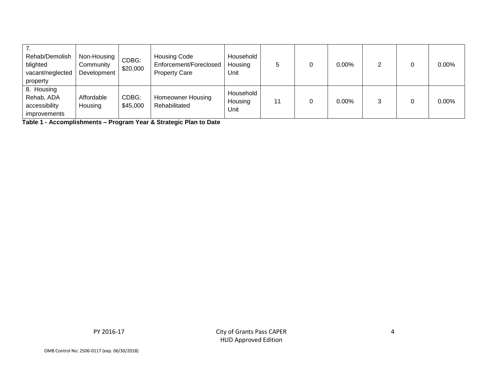| Rehab/Demolish<br>blighted<br>vacant/neglected<br>property       | Non-Housing<br>Community<br>Development | CDBG:<br>\$20,000 | <b>Housing Code</b><br>Enforcement/Foreclosed<br><b>Property Care</b> | Household<br>Housing<br>Unit |  | 0.00% |  | $0.00\%$ |
|------------------------------------------------------------------|-----------------------------------------|-------------------|-----------------------------------------------------------------------|------------------------------|--|-------|--|----------|
| 8. Housing<br>Rehab, ADA<br>accessibility<br><i>improvements</i> | Affordable<br>Housing                   | CDBG:<br>\$45,000 | <b>Homeowner Housing</b><br>Rehabilitated                             | Household<br>Housing<br>Unit |  | 0.00% |  | $0.00\%$ |

**Table 1 - Accomplishments – Program Year & Strategic Plan to Date**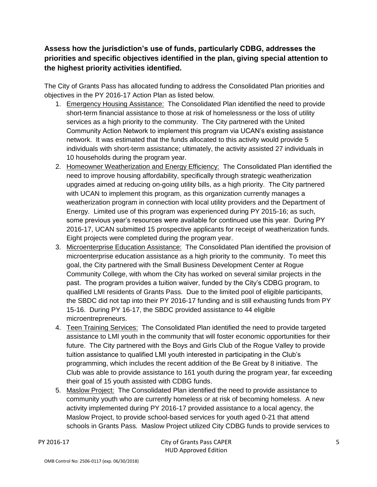**Assess how the jurisdiction's use of funds, particularly CDBG, addresses the priorities and specific objectives identified in the plan, giving special attention to the highest priority activities identified.**

The City of Grants Pass has allocated funding to address the Consolidated Plan priorities and objectives in the PY 2016-17 Action Plan as listed below.

- 1. Emergency Housing Assistance: The Consolidated Plan identified the need to provide short-term financial assistance to those at risk of homelessness or the loss of utility services as a high priority to the community. The City partnered with the United Community Action Network to implement this program via UCAN's existing assistance network. It was estimated that the funds allocated to this activity would provide 5 individuals with short-term assistance; ultimately, the activity assisted 27 individuals in 10 households during the program year.
- 2. Homeowner Weatherization and Energy Efficiency: The Consolidated Plan identified the need to improve housing affordability, specifically through strategic weatherization upgrades aimed at reducing on-going utility bills, as a high priority. The City partnered with UCAN to implement this program, as this organization currently manages a weatherization program in connection with local utility providers and the Department of Energy. Limited use of this program was experienced during PY 2015-16; as such, some previous year's resources were available for continued use this year. During PY 2016-17, UCAN submitted 15 prospective applicants for receipt of weatherization funds. Eight projects were completed during the program year.
- 3. Microenterprise Education Assistance: The Consolidated Plan identified the provision of microenterprise education assistance as a high priority to the community. To meet this goal, the City partnered with the Small Business Development Center at Rogue Community College, with whom the City has worked on several similar projects in the past. The program provides a tuition waiver, funded by the City's CDBG program, to qualified LMI residents of Grants Pass. Due to the limited pool of eligible participants, the SBDC did not tap into their PY 2016-17 funding and is still exhausting funds from PY 15-16. During PY 16-17, the SBDC provided assistance to 44 eligible microentrepreneurs.
- 4. Teen Training Services: The Consolidated Plan identified the need to provide targeted assistance to LMI youth in the community that will foster economic opportunities for their future. The City partnered with the Boys and Girls Club of the Rogue Valley to provide tuition assistance to qualified LMI youth interested in participating in the Club's programming, which includes the recent addition of the Be Great by 8 initiative. The Club was able to provide assistance to 161 youth during the program year, far exceeding their goal of 15 youth assisted with CDBG funds.
- 5. Maslow Project: The Consolidated Plan identified the need to provide assistance to community youth who are currently homeless or at risk of becoming homeless. A new activity implemented during PY 2016-17 provided assistance to a local agency, the Maslow Project, to provide school-based services for youth aged 0-21 that attend schools in Grants Pass. Maslow Project utilized City CDBG funds to provide services to

PY 2016-17 City of Grants Pass CAPER HUD Approved Edition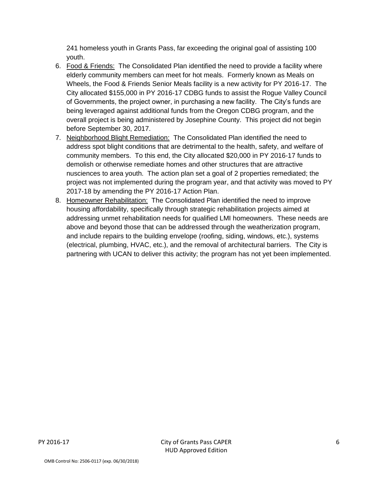241 homeless youth in Grants Pass, far exceeding the original goal of assisting 100 youth.

- 6. Food & Friends: The Consolidated Plan identified the need to provide a facility where elderly community members can meet for hot meals. Formerly known as Meals on Wheels, the Food & Friends Senior Meals facility is a new activity for PY 2016-17. The City allocated \$155,000 in PY 2016-17 CDBG funds to assist the Rogue Valley Council of Governments, the project owner, in purchasing a new facility. The City's funds are being leveraged against additional funds from the Oregon CDBG program, and the overall project is being administered by Josephine County. This project did not begin before September 30, 2017.
- 7. Neighborhood Blight Remediation: The Consolidated Plan identified the need to address spot blight conditions that are detrimental to the health, safety, and welfare of community members. To this end, the City allocated \$20,000 in PY 2016-17 funds to demolish or otherwise remediate homes and other structures that are attractive nusciences to area youth. The action plan set a goal of 2 properties remediated; the project was not implemented during the program year, and that activity was moved to PY 2017-18 by amending the PY 2016-17 Action Plan.
- 8. Homeowner Rehabilitation: The Consolidated Plan identified the need to improve housing affordability, specifically through strategic rehabilitation projects aimed at addressing unmet rehabilitation needs for qualified LMI homeowners. These needs are above and beyond those that can be addressed through the weatherization program, and include repairs to the building envelope (roofing, siding, windows, etc.), systems (electrical, plumbing, HVAC, etc.), and the removal of architectural barriers. The City is partnering with UCAN to deliver this activity; the program has not yet been implemented.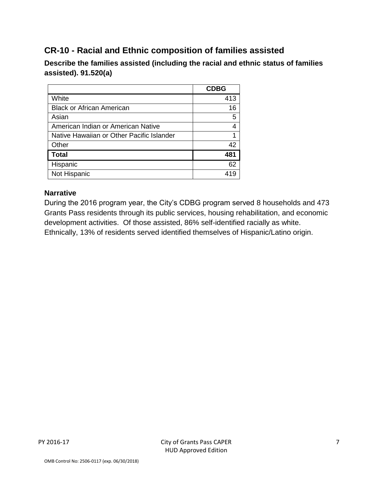## **CR-10 - Racial and Ethnic composition of families assisted**

**Describe the families assisted (including the racial and ethnic status of families assisted). 91.520(a)** 

|                                           | <b>CDBG</b> |
|-------------------------------------------|-------------|
| White                                     | 413         |
| <b>Black or African American</b>          | 16          |
| Asian                                     | 5           |
| American Indian or American Native        |             |
| Native Hawaiian or Other Pacific Islander |             |
| Other                                     | 42          |
| <b>Total</b>                              | 481         |
| Hispanic                                  | 62          |
| Not Hispanic                              |             |

## **Narrative**

During the 2016 program year, the City's CDBG program served 8 households and 473 Grants Pass residents through its public services, housing rehabilitation, and economic development activities. Of those assisted, 86% self-identified racially as white. Ethnically, 13% of residents served identified themselves of Hispanic/Latino origin.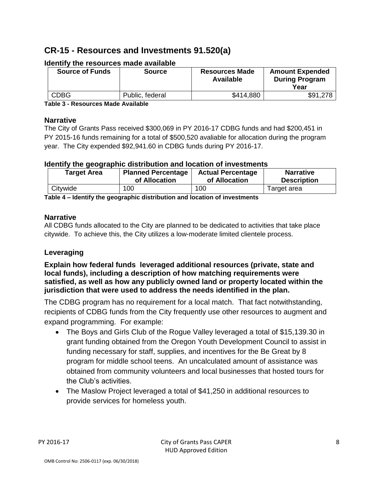## **CR-15 - Resources and Investments 91.520(a)**

| <b>Source of Funds</b> | <b>Source</b>   | <b>Resources Made</b><br><b>Available</b> | <b>Amount Expended</b><br><b>During Program</b><br>Year |
|------------------------|-----------------|-------------------------------------------|---------------------------------------------------------|
| <b>CDBG</b>            | Public, federal | \$414,880                                 | \$91,278                                                |

### **Identify the resources made available**

**Table 3 - Resources Made Available**

#### **Narrative**

The City of Grants Pass received \$300,069 in PY 2016-17 CDBG funds and had \$200,451 in PY 2015-16 funds remaining for a total of \$500,520 avaliable for allocation during the program year. The City expended \$92,941.60 in CDBG funds during PY 2016-17.

### **Identify the geographic distribution and location of investments**

| <b>Target Area</b> | <b>Planned Percentage</b> | <b>Actual Percentage</b> | <b>Narrative</b>   |
|--------------------|---------------------------|--------------------------|--------------------|
|                    | of Allocation             | of Allocation            | <b>Description</b> |
| Citywide           | 100                       | 100                      | Target area        |

**Table 4 – Identify the geographic distribution and location of investments**

### **Narrative**

All CDBG funds allocated to the City are planned to be dedicated to activities that take place citywide. To achieve this, the City utilizes a low-moderate limited clientele process.

### **Leveraging**

**Explain how federal funds leveraged additional resources (private, state and local funds), including a description of how matching requirements were satisfied, as well as how any publicly owned land or property located within the jurisdiction that were used to address the needs identified in the plan.**

The CDBG program has no requirement for a local match. That fact notwithstanding, recipients of CDBG funds from the City frequently use other resources to augment and expand programming. For example:

- The Boys and Girls Club of the Rogue Valley leveraged a total of \$15,139.30 in grant funding obtained from the Oregon Youth Development Council to assist in funding necessary for staff, supplies, and incentives for the Be Great by 8 program for middle school teens. An uncalculated amount of assistance was obtained from community volunteers and local businesses that hosted tours for the Club's activities.
- The Maslow Project leveraged a total of \$41,250 in additional resources to provide services for homeless youth.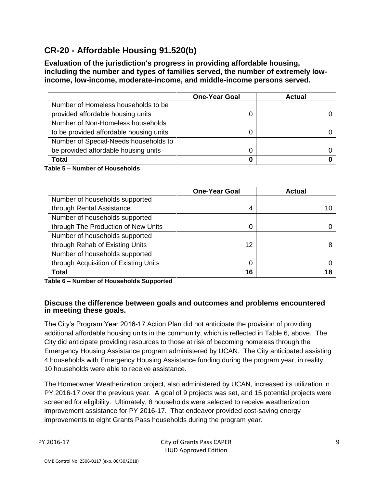## **CR-20 - Affordable Housing 91.520(b)**

**Evaluation of the jurisdiction's progress in providing affordable housing, including the number and types of families served, the number of extremely lowincome, low-income, moderate-income, and middle-income persons served.**

|                                         | <b>One-Year Goal</b> | <b>Actual</b> |
|-----------------------------------------|----------------------|---------------|
| Number of Homeless households to be     |                      |               |
| provided affordable housing units       |                      |               |
| Number of Non-Homeless households       |                      |               |
| to be provided affordable housing units |                      |               |
| Number of Special-Needs households to   |                      |               |
| be provided affordable housing units    |                      |               |
| Total                                   | 0                    |               |

**Table 5 – Number of Households**

|                                       | <b>One-Year Goal</b> | Actual |
|---------------------------------------|----------------------|--------|
| Number of households supported        |                      |        |
| through Rental Assistance             | 4                    |        |
| Number of households supported        |                      |        |
| through The Production of New Units   | 0                    |        |
| Number of households supported        |                      |        |
| through Rehab of Existing Units       | 12                   |        |
| Number of households supported        |                      |        |
| through Acquisition of Existing Units | 0                    |        |
| <b>Total</b>                          | 16                   |        |

**Table 6 – Number of Households Supported**

#### **Discuss the difference between goals and outcomes and problems encountered in meeting these goals.**

The City's Program Year 2016-17 Action Plan did not anticipate the provision of providing additional affordable housing units in the community, which is reflected in Table 6, above. The City did anticipate providing resources to those at risk of becoming homeless through the Emergency Housing Assistance program administered by UCAN. The City anticipated assisting 4 households with Emergency Housing Assistance funding during the program year; in reality, 10 households were able to receive assistance.

The Homeowner Weatherization project, also administered by UCAN, increased its utilization in PY 2016-17 over the previous year. A goal of 9 projects was set, and 15 potential projects were screened for eligibility. Ultimately, 8 households were selected to receive weatherization improvement assistance for PY 2016-17. That endeavor provided cost-saving energy improvements to eight Grants Pass households during the program year.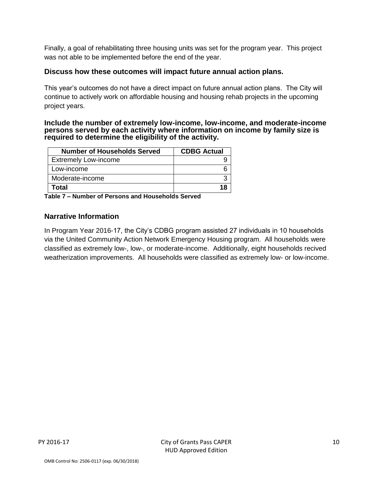Finally, a goal of rehabilitating three housing units was set for the program year. This project was not able to be implemented before the end of the year.

#### **Discuss how these outcomes will impact future annual action plans.**

This year's outcomes do not have a direct impact on future annual action plans. The City will continue to actively work on affordable housing and housing rehab projects in the upcoming project years.

#### **Include the number of extremely low-income, low-income, and moderate-income persons served by each activity where information on income by family size is required to determine the eligibility of the activity.**

| <b>Number of Households Served</b> | <b>CDBG Actual</b> |
|------------------------------------|--------------------|
| <b>Extremely Low-income</b>        |                    |
| Low-income                         |                    |
| Moderate-income                    |                    |
| Total                              |                    |

**Table 7 – Number of Persons and Households Served**

### **Narrative Information**

In Program Year 2016-17, the City's CDBG program assisted 27 individuals in 10 households via the United Community Action Network Emergency Housing program. All households were classified as extremely low-, low-, or moderate-income. Additionally, eight households recived weatherization improvements. All households were classified as extremely low- or low-income.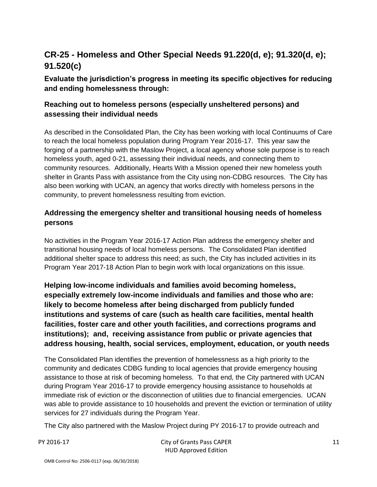## **CR-25 - Homeless and Other Special Needs 91.220(d, e); 91.320(d, e); 91.520(c)**

## **Evaluate the jurisdiction's progress in meeting its specific objectives for reducing and ending homelessness through:**

## **Reaching out to homeless persons (especially unsheltered persons) and assessing their individual needs**

As described in the Consolidated Plan, the City has been working with local Continuums of Care to reach the local homeless population during Program Year 2016-17. This year saw the forging of a partnership with the Maslow Project, a local agency whose sole purpose is to reach homeless youth, aged 0-21, assessing their individual needs, and connecting them to community resources. Additionally, Hearts With a Mission opened their new homeless youth shelter in Grants Pass with assistance from the City using non-CDBG resources. The City has also been working with UCAN, an agency that works directly with homeless persons in the community, to prevent homelessness resulting from eviction.

## **Addressing the emergency shelter and transitional housing needs of homeless persons**

No activities in the Program Year 2016-17 Action Plan address the emergency shelter and transitional housing needs of local homeless persons. The Consolidated Plan identified additional shelter space to address this need; as such, the City has included activities in its Program Year 2017-18 Action Plan to begin work with local organizations on this issue.

**Helping low-income individuals and families avoid becoming homeless, especially extremely low-income individuals and families and those who are: likely to become homeless after being discharged from publicly funded institutions and systems of care (such as health care facilities, mental health facilities, foster care and other youth facilities, and corrections programs and institutions); and, receiving assistance from public or private agencies that address housing, health, social services, employment, education, or youth needs**

The Consolidated Plan identifies the prevention of homelessness as a high priority to the community and dedicates CDBG funding to local agencies that provide emergency housing assistance to those at risk of becoming homeless. To that end, the City partnered with UCAN during Program Year 2016-17 to provide emergency housing assistance to households at immediate risk of eviction or the disconnection of utilities due to financial emergencies. UCAN was able to provide assistance to 10 households and prevent the eviction or termination of utility services for 27 individuals during the Program Year.

The City also partnered with the Maslow Project during PY 2016-17 to provide outreach and

PY 2016-17 City of Grants Pass CAPER HUD Approved Edition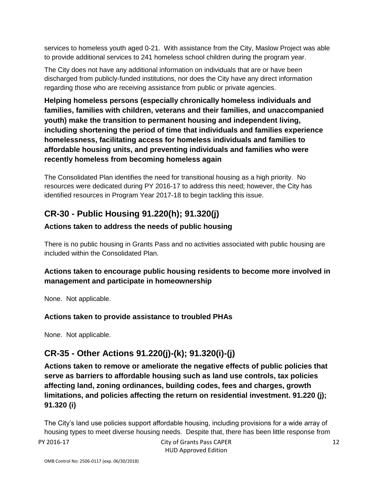services to homeless youth aged 0-21. With assistance from the City, Maslow Project was able to provide additional services to 241 homeless school children during the program year.

The City does not have any additional information on individuals that are or have been discharged from publicly-funded institutions, nor does the City have any direct information regarding those who are receiving assistance from public or private agencies.

**Helping homeless persons (especially chronically homeless individuals and families, families with children, veterans and their families, and unaccompanied youth) make the transition to permanent housing and independent living, including shortening the period of time that individuals and families experience homelessness, facilitating access for homeless individuals and families to affordable housing units, and preventing individuals and families who were recently homeless from becoming homeless again**

The Consolidated Plan identifies the need for transitional housing as a high priority. No resources were dedicated during PY 2016-17 to address this need; however, the City has identified resources in Program Year 2017-18 to begin tackling this issue.

## **CR-30 - Public Housing 91.220(h); 91.320(j)**

## **Actions taken to address the needs of public housing**

There is no public housing in Grants Pass and no activities associated with public housing are included within the Consolidated Plan.

## **Actions taken to encourage public housing residents to become more involved in management and participate in homeownership**

None. Not applicable.

## **Actions taken to provide assistance to troubled PHAs**

None. Not applicable.

## **CR-35 - Other Actions 91.220(j)-(k); 91.320(i)-(j)**

**Actions taken to remove or ameliorate the negative effects of public policies that serve as barriers to affordable housing such as land use controls, tax policies affecting land, zoning ordinances, building codes, fees and charges, growth limitations, and policies affecting the return on residential investment. 91.220 (j); 91.320 (i)**

The City's land use policies support affordable housing, including provisions for a wide array of housing types to meet diverse housing needs. Despite that, there has been little response from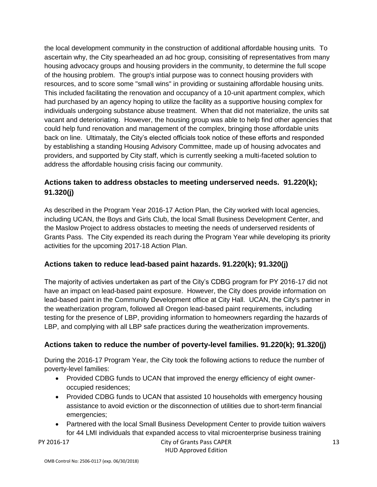the local development community in the construction of additional affordable housing units. To ascertain why, the City spearheaded an ad hoc group, consisiting of representatives from many housing advocacy groups and housing providers in the community, to determine the full scope of the housing problem. The group's intial purpose was to connect housing providers with resources, and to score some "small wins" in providing or sustaining affordable housing units. This included facilitating the renovation and occupancy of a 10-unit apartment complex, which had purchased by an agency hoping to utilize the facility as a supportive housing complex for individuals undergoing substance abuse treatment. When that did not materialize, the units sat vacant and deterioriating. However, the housing group was able to help find other agencies that could help fund renovation and management of the complex, bringing those affordable units back on line. Ultimataly, the City's elected officials took notice of these efforts and responded by establishing a standing Housing Advisory Committee, made up of housing advocates and providers, and supported by City staff, which is currently seeking a multi-faceted solution to address the affordable housing crisis facing our community.

## **Actions taken to address obstacles to meeting underserved needs. 91.220(k); 91.320(j)**

As described in the Program Year 2016-17 Action Plan, the City worked with local agencies, including UCAN, the Boys and Girls Club, the local Small Business Development Center, and the Maslow Project to address obstacles to meeting the needs of underserved residents of Grants Pass. The City expended its reach during the Program Year while developing its priority activities for the upcoming 2017-18 Action Plan.

## **Actions taken to reduce lead-based paint hazards. 91.220(k); 91.320(j)**

The majority of activies undertaken as part of the City's CDBG program for PY 2016-17 did not have an impact on lead-based paint exposure. However, the City does provide information on lead-based paint in the Community Development office at City Hall. UCAN, the City's partner in the weatherization program, followed all Oregon lead-based paint requirements, including testing for the presence of LBP, providing information to homeowners regarding the hazards of LBP, and complying with all LBP safe practices during the weatherization improvements.

## **Actions taken to reduce the number of poverty-level families. 91.220(k); 91.320(j)**

During the 2016-17 Program Year, the City took the following actions to reduce the number of poverty-level families:

- Provided CDBG funds to UCAN that improved the energy efficiency of eight owneroccupied residences;
- Provided CDBG funds to UCAN that assisted 10 households with emergency housing assistance to avoid eviction or the disconnection of utilities due to short-term financial emergencies;
- Partnered with the local Small Business Development Center to provide tuition waivers for 44 LMI individuals that expanded access to vital microenterprise business training

#### PY 2016-17 City of Grants Pass CAPER HUD Approved Edition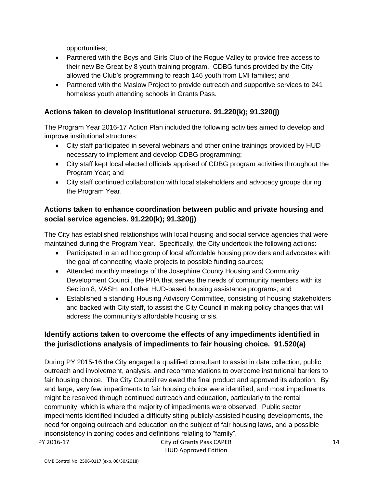opportunities;

- Partnered with the Boys and Girls Club of the Rogue Valley to provide free access to their new Be Great by 8 youth training program. CDBG funds provided by the City allowed the Club's programming to reach 146 youth from LMI families; and
- Partnered with the Maslow Project to provide outreach and supportive services to 241 homeless youth attending schools in Grants Pass.

## **Actions taken to develop institutional structure. 91.220(k); 91.320(j)**

The Program Year 2016-17 Action Plan included the following activities aimed to develop and improve institutional structures:

- City staff participated in several webinars and other online trainings provided by HUD necessary to implement and develop CDBG programming;
- City staff kept local elected officials apprised of CDBG program activities throughout the Program Year; and
- City staff continued collaboration with local stakeholders and advocacy groups during the Program Year.

## **Actions taken to enhance coordination between public and private housing and social service agencies. 91.220(k); 91.320(j)**

The City has established relationships with local housing and social service agencies that were maintained during the Program Year. Specifically, the City undertook the following actions:

- Participated in an ad hoc group of local affordable housing providers and advocates with the goal of connecting viable projects to possible funding sources;
- Attended monthly meetings of the Josephine County Housing and Community Development Council, the PHA that serves the needs of community members with its Section 8, VASH, and other HUD-based housing assistance programs; and
- Established a standing Housing Advisory Committee, consisting of housing stakeholders and backed with City staff, to assist the City Council in making policy changes that will address the community's affordable housing crisis.

## **Identify actions taken to overcome the effects of any impediments identified in the jurisdictions analysis of impediments to fair housing choice. 91.520(a)**

During PY 2015-16 the City engaged a qualified consultant to assist in data collection, public outreach and involvement, analysis, and recommendations to overcome institutional barriers to fair housing choice. The City Council reviewed the final product and approved its adoption. By and large, very few impediments to fair housing choice were identified, and most impediments might be resolved through continued outreach and education, particularly to the rental community, which is where the majority of impediments were observed. Public sector impediments identified included a difficulty siting publicly-assisted housing developments, the need for ongoing outreach and education on the subject of fair housing laws, and a possible inconsistency in zoning codes and definitions relating to "family".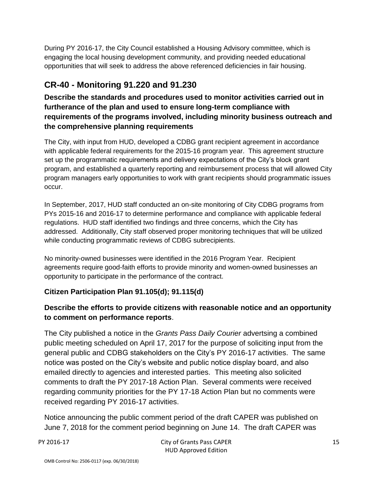During PY 2016-17, the City Council established a Housing Advisory committee, which is engaging the local housing development community, and providing needed educational opportunities that will seek to address the above referenced deficiencies in fair housing.

## **CR-40 - Monitoring 91.220 and 91.230**

**Describe the standards and procedures used to monitor activities carried out in furtherance of the plan and used to ensure long-term compliance with requirements of the programs involved, including minority business outreach and the comprehensive planning requirements**

The City, with input from HUD, developed a CDBG grant recipient agreement in accordance with applicable federal requirements for the 2015-16 program year. This agreement structure set up the programmatic requirements and delivery expectations of the City's block grant program, and established a quarterly reporting and reimbursement process that will allowed City program managers early opportunities to work with grant recipients should programmatic issues occur.

In September, 2017, HUD staff conducted an on-site monitoring of City CDBG programs from PYs 2015-16 and 2016-17 to determine performance and compliance with applicable federal regulations. HUD staff identified two findings and three concerns, which the City has addressed. Additionally, City staff observed proper monitoring techniques that will be utilized while conducting programmatic reviews of CDBG subrecipients.

No minority-owned businesses were identified in the 2016 Program Year. Recipient agreements require good-faith efforts to provide minority and women-owned businesses an opportunity to participate in the performance of the contract.

## **Citizen Participation Plan 91.105(d); 91.115(d)**

## **Describe the efforts to provide citizens with reasonable notice and an opportunity to comment on performance reports**.

The City published a notice in the *Grants Pass Daily Courier* advertsing a combined public meeting scheduled on April 17, 2017 for the purpose of soliciting input from the general public and CDBG stakeholders on the City's PY 2016-17 activities. The same notice was posted on the City's website and public notice display board, and also emailed directly to agencies and interested parties. This meeting also solicited comments to draft the PY 2017-18 Action Plan. Several comments were received regarding community priorities for the PY 17-18 Action Plan but no comments were received regarding PY 2016-17 activities.

Notice announcing the public comment period of the draft CAPER was published on June 7, 2018 for the comment period beginning on June 14. The draft CAPER was